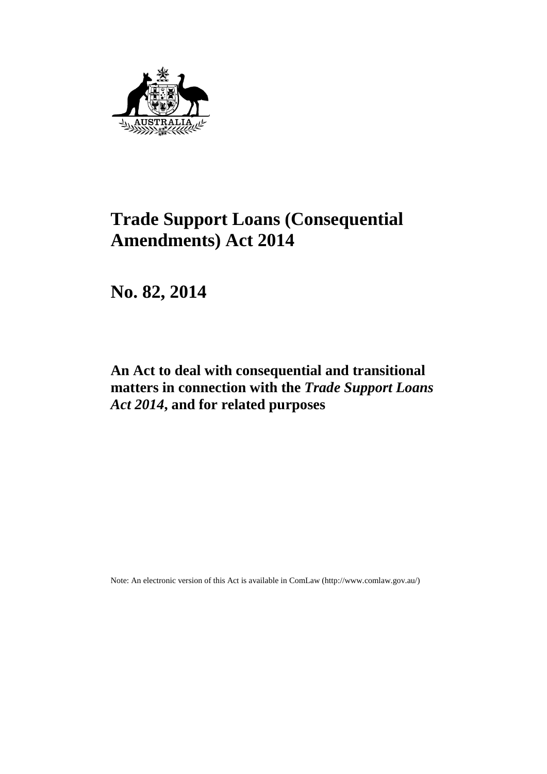

# **Trade Support Loans (Consequential Amendments) Act 2014**

**No. 82, 2014** 

## **An Act to deal with consequential and transitional matters in connection with the** *Trade Support Loans Act 2014***, and for related purposes**

Note: An electronic version of this Act is available in ComLaw (http://www.comlaw.gov.au/)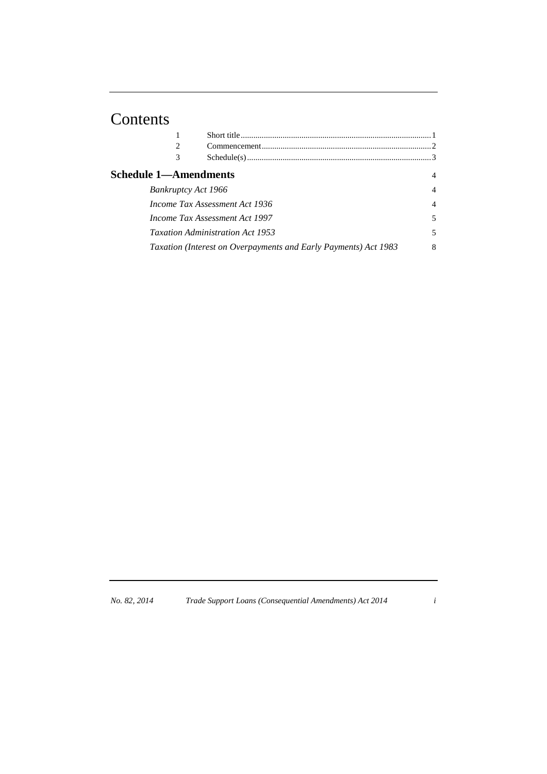# Contents

|                                       | 2                              |                                                                 |                |
|---------------------------------------|--------------------------------|-----------------------------------------------------------------|----------------|
|                                       | 3                              |                                                                 |                |
|                                       | <b>Schedule 1—Amendments</b>   |                                                                 | 4              |
|                                       | Bankruptcy Act 1966            |                                                                 | $\overline{4}$ |
|                                       | Income Tax Assessment Act 1936 |                                                                 |                |
| <i>Income Tax Assessment Act 1997</i> |                                |                                                                 | 5              |
|                                       |                                | <b>Taxation Administration Act 1953</b>                         | 5              |
|                                       |                                | Taxation (Interest on Overpayments and Early Payments) Act 1983 | 8              |
|                                       |                                |                                                                 |                |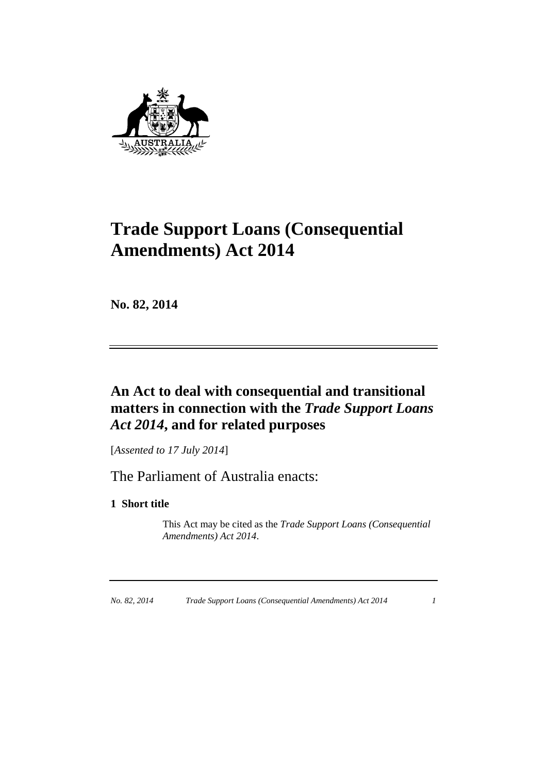

# **Trade Support Loans (Consequential Amendments) Act 2014**

**No. 82, 2014**

## **An Act to deal with consequential and transitional matters in connection with the** *Trade Support Loans Act 2014***, and for related purposes**

[*Assented to 17 July 2014*]

The Parliament of Australia enacts:

## **1 Short title**

 This Act may be cited as the *Trade Support Loans (Consequential Amendments) Act 2014*.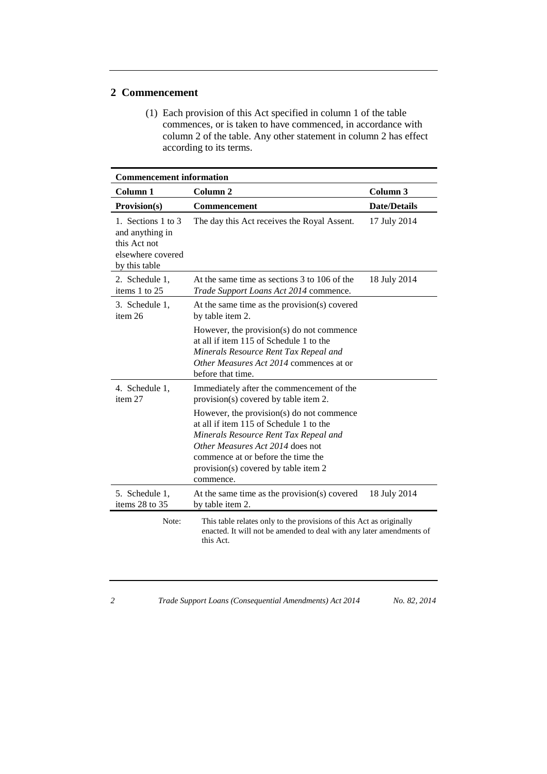#### **2 Commencement**

 (1) Each provision of this Act specified in column 1 of the table commences, or is taken to have commenced, in accordance with column 2 of the table. Any other statement in column 2 has effect according to its terms.

| <b>Commencement information</b>                                                             |                                                                                                                                                                                                                                                              |                     |  |  |
|---------------------------------------------------------------------------------------------|--------------------------------------------------------------------------------------------------------------------------------------------------------------------------------------------------------------------------------------------------------------|---------------------|--|--|
| Column 1                                                                                    | Column <sub>2</sub>                                                                                                                                                                                                                                          | Column <sub>3</sub> |  |  |
| Provision(s)                                                                                | <b>Commencement</b>                                                                                                                                                                                                                                          | <b>Date/Details</b> |  |  |
| 1. Sections 1 to 3<br>and anything in<br>this Act not<br>elsewhere covered<br>by this table | The day this Act receives the Royal Assent.                                                                                                                                                                                                                  | 17 July 2014        |  |  |
| 2. Schedule 1,<br>items 1 to 25                                                             | At the same time as sections 3 to 106 of the<br>Trade Support Loans Act 2014 commence.                                                                                                                                                                       | 18 July 2014        |  |  |
| 3. Schedule 1,<br>item 26                                                                   | At the same time as the provision(s) covered<br>by table item 2.                                                                                                                                                                                             |                     |  |  |
|                                                                                             | However, the provision(s) do not commence<br>at all if item 115 of Schedule 1 to the<br>Minerals Resource Rent Tax Repeal and<br>Other Measures Act 2014 commences at or<br>before that time.                                                                |                     |  |  |
| 4. Schedule 1,<br>item 27                                                                   | Immediately after the commencement of the<br>provision(s) covered by table item 2.                                                                                                                                                                           |                     |  |  |
|                                                                                             | However, the provision(s) do not commence<br>at all if item 115 of Schedule 1 to the<br>Minerals Resource Rent Tax Repeal and<br>Other Measures Act 2014 does not<br>commence at or before the time the<br>provision(s) covered by table item 2<br>commence. |                     |  |  |
| 5. Schedule 1,<br>items 28 to 35                                                            | At the same time as the provision(s) covered<br>by table item 2.                                                                                                                                                                                             | 18 July 2014        |  |  |
| Note:                                                                                       | This table relates only to the provisions of this Act as originally<br>enacted. It will not be amended to deal with any later amendments of<br>this Act.                                                                                                     |                     |  |  |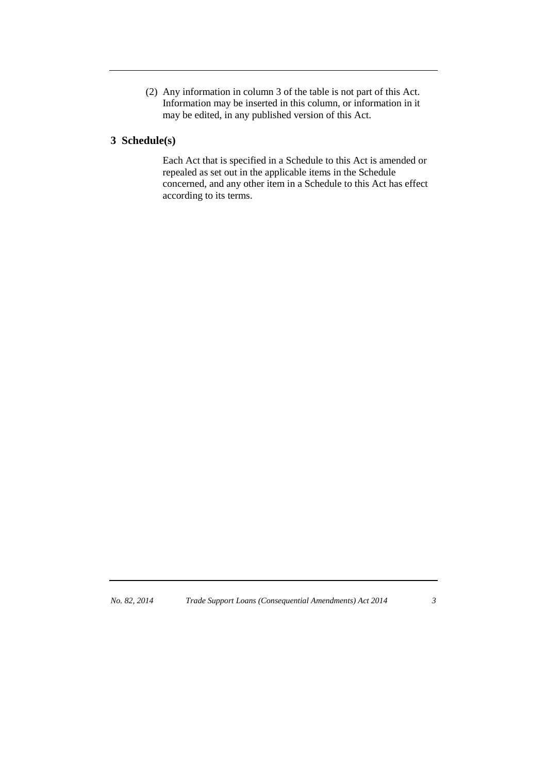(2) Any information in column 3 of the table is not part of this Act. Information may be inserted in this column, or information in it may be edited, in any published version of this Act.

## **3 Schedule(s)**

 Each Act that is specified in a Schedule to this Act is amended or repealed as set out in the applicable items in the Schedule concerned, and any other item in a Schedule to this Act has effect according to its terms.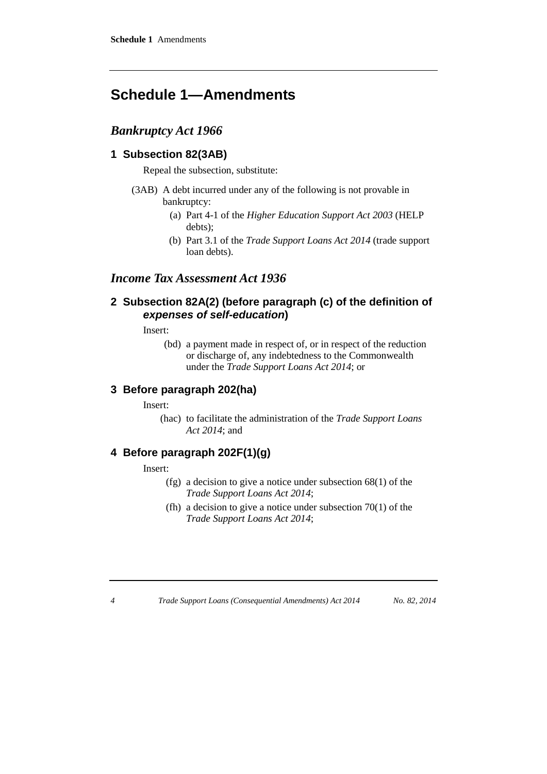## **Schedule 1—Amendments**

## *Bankruptcy Act 1966*

#### **1 Subsection 82(3AB)**

Repeal the subsection, substitute:

- (3AB) A debt incurred under any of the following is not provable in bankruptcy:
	- (a) Part 4-1 of the *Higher Education Support Act 2003* (HELP debts);
	- (b) Part 3.1 of the *Trade Support Loans Act 2014* (trade support loan debts).

## *Income Tax Assessment Act 1936*

#### **2 Subsection 82A(2) (before paragraph (c) of the definition of**  *expenses of self-education***)**

Insert:

(bd) a payment made in respect of, or in respect of the reduction or discharge of, any indebtedness to the Commonwealth under the *Trade Support Loans Act 2014*; or

#### **3 Before paragraph 202(ha)**

Insert:

(hac) to facilitate the administration of the *Trade Support Loans Act 2014*; and

### **4 Before paragraph 202F(1)(g)**

Insert:

- (fg) a decision to give a notice under subsection 68(1) of the *Trade Support Loans Act 2014*;
- (fh) a decision to give a notice under subsection  $70(1)$  of the *Trade Support Loans Act 2014*;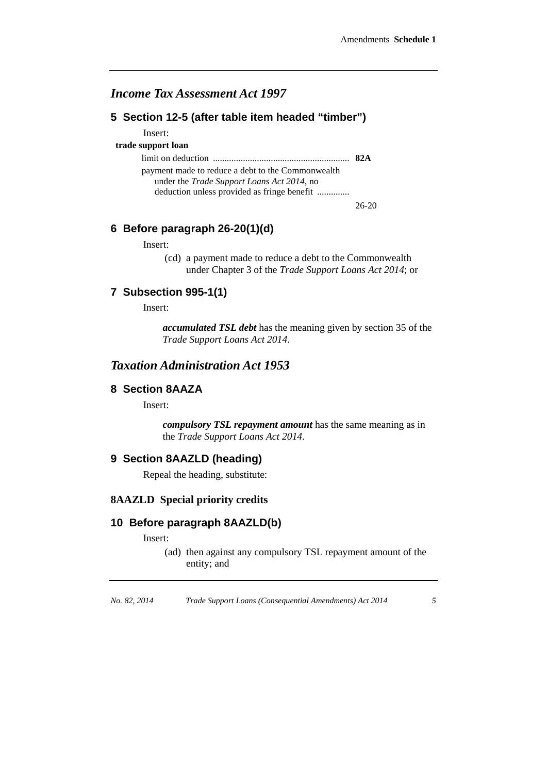## *Income Tax Assessment Act 1997*

#### **5 Section 12-5 (after table item headed "timber")**

Insert:

#### **trade support loan**

limit on deduction ........................................................... **82A**

payment made to reduce a debt to the Commonwealth under the *Trade Support Loans Act 2014*, no deduction unless provided as fringe benefit ..............

26-20

#### **6 Before paragraph 26-20(1)(d)**

Insert:

(cd) a payment made to reduce a debt to the Commonwealth under Chapter 3 of the *Trade Support Loans Act 2014*; or

#### **7 Subsection 995-1(1)**

Insert:

*accumulated TSL debt* has the meaning given by section 35 of the *Trade Support Loans Act 2014*.

#### *Taxation Administration Act 1953*

#### **8 Section 8AAZA**

Insert:

*compulsory TSL repayment amount* has the same meaning as in the *Trade Support Loans Act 2014*.

#### **9 Section 8AAZLD (heading)**

Repeal the heading, substitute:

#### **8AAZLD Special priority credits**

#### **10 Before paragraph 8AAZLD(b)**

Insert:

(ad) then against any compulsory TSL repayment amount of the entity; and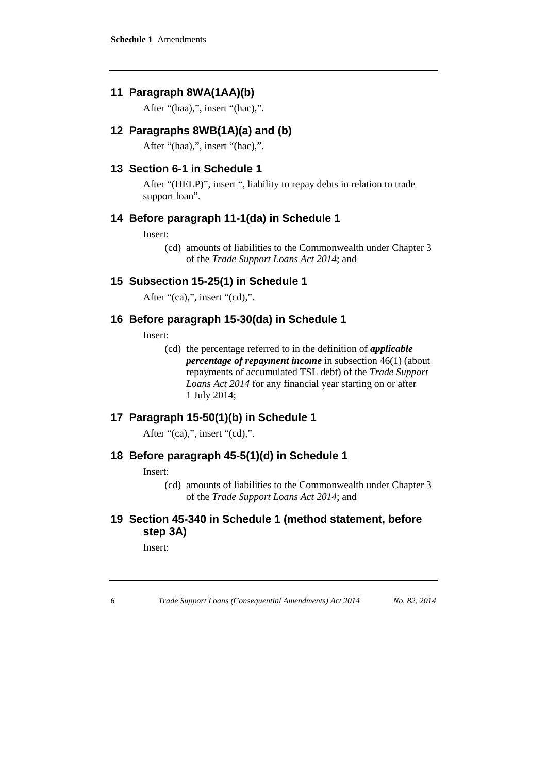## **11 Paragraph 8WA(1AA)(b)**

After "(haa),", insert "(hac),".

#### **12 Paragraphs 8WB(1A)(a) and (b)**

After "(haa),", insert "(hac),".

#### **13 Section 6-1 in Schedule 1**

After "(HELP)", insert ", liability to repay debts in relation to trade support loan".

#### **14 Before paragraph 11-1(da) in Schedule 1**

Insert:

(cd) amounts of liabilities to the Commonwealth under Chapter 3 of the *Trade Support Loans Act 2014*; and

#### **15 Subsection 15-25(1) in Schedule 1**

After "(ca),", insert "(cd),".

#### **16 Before paragraph 15-30(da) in Schedule 1**

Insert:

(cd) the percentage referred to in the definition of *applicable percentage of repayment income* in subsection 46(1) (about repayments of accumulated TSL debt) of the *Trade Support Loans Act 2014* for any financial year starting on or after 1 July 2014;

#### **17 Paragraph 15-50(1)(b) in Schedule 1**

After "(ca),", insert "(cd),".

#### **18 Before paragraph 45-5(1)(d) in Schedule 1**

Insert:

(cd) amounts of liabilities to the Commonwealth under Chapter 3 of the *Trade Support Loans Act 2014*; and

## **19 Section 45-340 in Schedule 1 (method statement, before step 3A)**

Insert: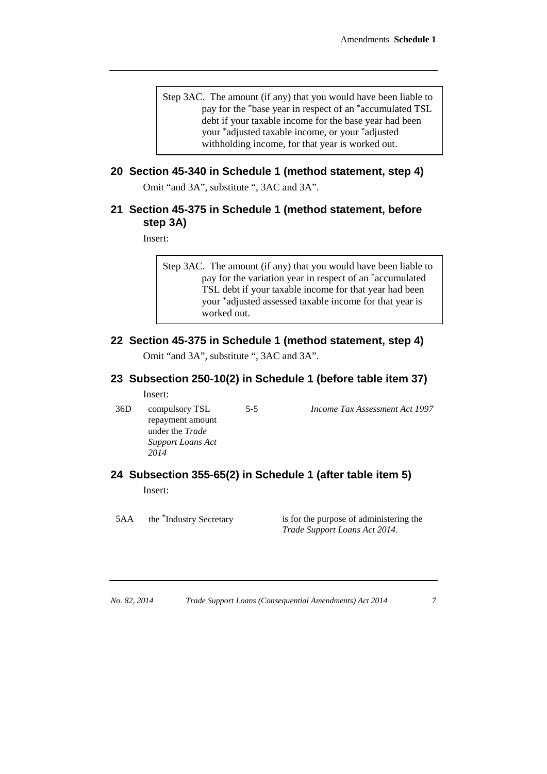Step 3AC. The amount (if any) that you would have been liable to pay for the \*base year in respect of an \*accumulated TSL debt if your taxable income for the base year had been your \*adjusted taxable income, or your \*adjusted withholding income, for that year is worked out.

## **20 Section 45-340 in Schedule 1 (method statement, step 4)**

Omit "and 3A", substitute ", 3AC and 3A".

#### **21 Section 45-375 in Schedule 1 (method statement, before step 3A)**

Insert:

Step 3AC. The amount (if any) that you would have been liable to pay for the variation year in respect of an \*accumulated TSL debt if your taxable income for that year had been your \*adjusted assessed taxable income for that year is worked out.

### **22 Section 45-375 in Schedule 1 (method statement, step 4)**

Omit "and 3A", substitute ", 3AC and 3A".

## **23 Subsection 250-10(2) in Schedule 1 (before table item 37)**

Insert:

36D compulsory TSL repayment amount under the *Trade Support Loans Act 2014*

5-5 *Income Tax Assessment Act 1997*

#### **24 Subsection 355-65(2) in Schedule 1 (after table item 5)** Insert:

5AA the \*Industry Secretary is for the purpose of administering the *Trade Support Loans Act 2014*.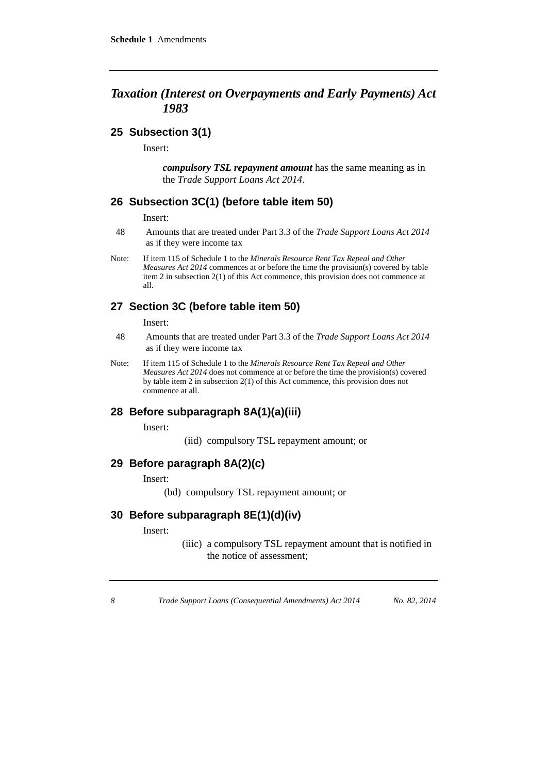## *Taxation (Interest on Overpayments and Early Payments) Act 1983*

#### **25 Subsection 3(1)**

Insert:

*compulsory TSL repayment amount* has the same meaning as in the *Trade Support Loans Act 2014*.

#### **26 Subsection 3C(1) (before table item 50)**

Insert:

- 48 Amounts that are treated under Part 3.3 of the *Trade Support Loans Act 2014* as if they were income tax
- Note: If item 115 of Schedule 1 to the *Minerals Resource Rent Tax Repeal and Other Measures Act 2014* commences at or before the time the provision(s) covered by table item 2 in subsection 2(1) of this Act commence, this provision does not commence at all.

## **27 Section 3C (before table item 50)**

Insert:

- 48 Amounts that are treated under Part 3.3 of the *Trade Support Loans Act 2014* as if they were income tax
- Note: If item 115 of Schedule 1 to the *Minerals Resource Rent Tax Repeal and Other Measures Act 2014* does not commence at or before the time the provision(s) covered by table item 2 in subsection 2(1) of this Act commence, this provision does not commence at all.

#### **28 Before subparagraph 8A(1)(a)(iii)**

Insert:

(iid) compulsory TSL repayment amount; or

#### **29 Before paragraph 8A(2)(c)**

Insert:

(bd) compulsory TSL repayment amount; or

#### **30 Before subparagraph 8E(1)(d)(iv)**

Insert:

(iiic) a compulsory TSL repayment amount that is notified in the notice of assessment;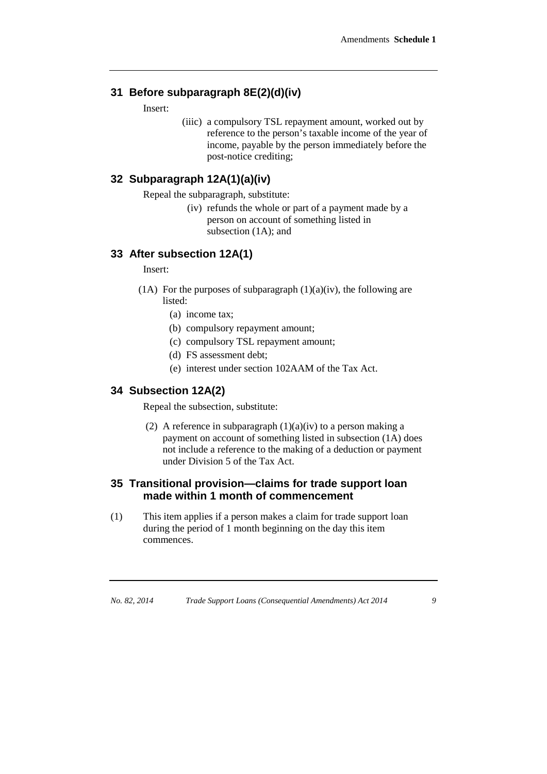## **31 Before subparagraph 8E(2)(d)(iv)**

Insert:

(iiic) a compulsory TSL repayment amount, worked out by reference to the person's taxable income of the year of income, payable by the person immediately before the post-notice crediting;

#### **32 Subparagraph 12A(1)(a)(iv)**

Repeal the subparagraph, substitute:

(iv) refunds the whole or part of a payment made by a person on account of something listed in subsection (1A); and

## **33 After subsection 12A(1)**

Insert:

- (1A) For the purposes of subparagraph  $(1)(a)(iv)$ , the following are listed:
	- (a) income tax;
	- (b) compulsory repayment amount;
	- (c) compulsory TSL repayment amount;
	- (d) FS assessment debt;
	- (e) interest under section 102AAM of the Tax Act.

#### **34 Subsection 12A(2)**

Repeal the subsection, substitute:

(2) A reference in subparagraph  $(1)(a)(iv)$  to a person making a payment on account of something listed in subsection (1A) does not include a reference to the making of a deduction or payment under Division 5 of the Tax Act.

#### **35 Transitional provision—claims for trade support loan made within 1 month of commencement**

(1) This item applies if a person makes a claim for trade support loan during the period of 1 month beginning on the day this item commences.